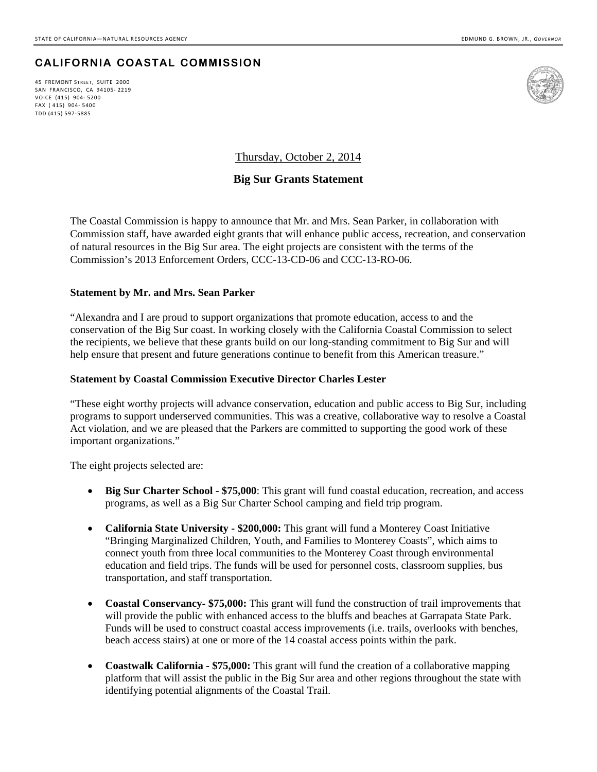## **CALIFORNIA COASTAL COMMISSION**

45 FREMONT STREET, SUITE 2000 SAN FRANCISCO, CA 94105‐ 2219 VOICE (415) 904‐ 5200 FAX ( 415) 904‐ 5400 TDD (415) 597‐5885



Thursday, October 2, 2014

## **Big Sur Grants Statement**

The Coastal Commission is happy to announce that Mr. and Mrs. Sean Parker, in collaboration with Commission staff, have awarded eight grants that will enhance public access, recreation, and conservation of natural resources in the Big Sur area. The eight projects are consistent with the terms of the Commission's 2013 Enforcement Orders, CCC-13-CD-06 and CCC-13-RO-06.

## **Statement by Mr. and Mrs. Sean Parker**

"Alexandra and I are proud to support organizations that promote education, access to and the conservation of the Big Sur coast. In working closely with the California Coastal Commission to select the recipients, we believe that these grants build on our long-standing commitment to Big Sur and will help ensure that present and future generations continue to benefit from this American treasure."

## **Statement by Coastal Commission Executive Director Charles Lester**

"These eight worthy projects will advance conservation, education and public access to Big Sur, including programs to support underserved communities. This was a creative, collaborative way to resolve a Coastal Act violation, and we are pleased that the Parkers are committed to supporting the good work of these important organizations."

The eight projects selected are:

- Big Sur Charter School \$75,000: This grant will fund coastal education, recreation, and access programs, as well as a Big Sur Charter School camping and field trip program.
- **California State University \$200,000:** This grant will fund a Monterey Coast Initiative "Bringing Marginalized Children, Youth, and Families to Monterey Coasts", which aims to connect youth from three local communities to the Monterey Coast through environmental education and field trips. The funds will be used for personnel costs, classroom supplies, bus transportation, and staff transportation.
- Coastal Conservancy \$75,000: This grant will fund the construction of trail improvements that will provide the public with enhanced access to the bluffs and beaches at Garrapata State Park. Funds will be used to construct coastal access improvements (i.e. trails, overlooks with benches, beach access stairs) at one or more of the 14 coastal access points within the park.
- **Coastwalk California \$75,000:** This grant will fund the creation of a collaborative mapping platform that will assist the public in the Big Sur area and other regions throughout the state with identifying potential alignments of the Coastal Trail.